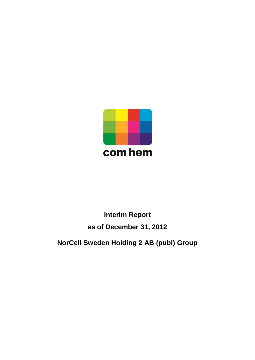

# **Interim Report as of December 31, 2012**

**NorCell Sweden Holding 2 AB (publ) Group**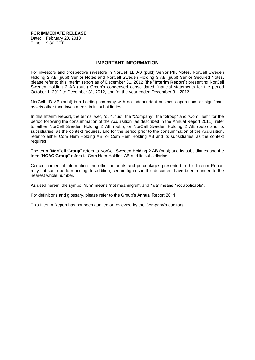**FOR IMMEDIATE RELEASE**

Date: February 20, 2013 Time: 9:30 CET

#### **IMPORTANT INFORMATION**

For investors and prospective investors in NorCell 1B AB (publ) Senior PIK Notes, NorCell Sweden Holding 2 AB (publ) Senior Notes and NorCell Sweden Holding 3 AB (publ) Senior Secured Notes, please refer to this interim report as of December 31, 2012 (the "**Interim Report**") presenting NorCell Sweden Holding 2 AB (publ) Group's condensed consolidated financial statements for the period October 1, 2012 to December 31, 2012, and for the year ended December 31, 2012.

NorCell 1B AB (publ) is a holding company with no independent business operations or significant assets other than investments in its subsidiaries.

In this Interim Report, the terms "we", "our", "us", the "Company", the "Group" and "Com Hem" for the period following the consummation of the Acquisition (as described in the Annual Report 2011*)*, refer to either NorCell Sweden Holding 2 AB (publ), or NorCell Sweden Holding 2 AB (publ) and its subsidiaries, as the context requires, and for the period prior to the consummation of the Acquisition, refer to either Com Hem Holding AB, or Com Hem Holding AB and its subsidiaries, as the context requires.

The term "**NorCell Group**" refers to NorCell Sweden Holding 2 AB (publ) and its subsidiaries and the term "**NCAC Group**" refers to Com Hem Holding AB and its subsidiaries.

Certain numerical information and other amounts and percentages presented in this Interim Report may not sum due to rounding. In addition, certain figures in this document have been rounded to the nearest whole number.

As used herein, the symbol "n/m" means "not meaningful", and "n/a" means "not applicable".

For definitions and glossary, please refer to the Group's Annual Report 2011.

This Interim Report has not been audited or reviewed by the Company's auditors.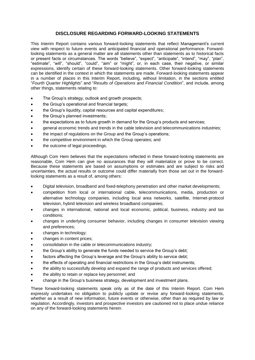# **DISCLOSURE REGARDING FORWARD-LOOKING STATEMENTS**

This Interim Report contains various forward-looking statements that reflect Management's current view with respect to future events and anticipated financial and operational performance. Forwardlooking statements as a general matter are all statements other than statements as to historical facts or present facts or circumstances. The words "believe", "expect", "anticipate", "intend", "may", "plan", "estimate", "will", "should", "could", "aim" or "might", or, in each case, their negative, or similar expressions, identify certain of these forward-looking statements. Other forward-looking statements can be identified in the context in which the statements are made. Forward-looking statements appear in a number of places in this Interim Report, including, without limitation, in the sections entitled "*Fourth Quarter Highlights*" and "*Results of Operations and Financial Condition*", and include, among other things, statements relating to:

- The Group's strategy, outlook and growth prospects;
- the Group's operational and financial targets;
- the Group's liquidity, capital resources and capital expenditures;
- the Group's planned investments;
- the expectations as to future growth in demand for the Group's products and services;
- general economic trends and trends in the cable television and telecommunications industries;
- the impact of regulations on the Group and the Group's operations;
- the competitive environment in which the Group operates; and
- the outcome of legal proceedings.

Although Com Hem believes that the expectations reflected in these forward-looking statements are reasonable, Com Hem can give no assurances that they will materialize or prove to be correct. Because these statements are based on assumptions or estimates and are subject to risks and uncertainties, the actual results or outcome could differ materially from those set out in the forwardlooking statements as a result of, among others:

- Digital television, broadband and fixed-telephony penetration and other market developments;
- competition from local or international cable, telecommunications, media, production or alternative technology companies, including local area networks, satellite, Internet-protocol television, hybrid television and wireless broadband companies;
- changes in international, national and local economic, political, business, industry and tax conditions;
- changes in underlying consumer behavior, including changes in consumer television viewing and preferences;
- changes in technology;
- changes in content prices;
- consolidation in the cable or telecommunications industry;
- the Group's ability to generate the funds needed to service the Group's debt;
- factors affecting the Group's leverage and the Group's ability to service debt;
- the effects of operating and financial restrictions in the Group's debt instruments;
- the ability to successfully develop and expand the range of products and services offered;
- the ability to retain or replace key personnel; and
- change in the Group's business strategy, development and investment plans.

These forward-looking statements speak only as of the date of this Interim Report. Com Hem expressly undertakes no obligation to publicly update or revise any forward-looking statements, whether as a result of new information, future events or otherwise, other than as required by law or regulation. Accordingly, investors and prospective investors are cautioned not to place undue reliance on any of the forward-looking statements herein.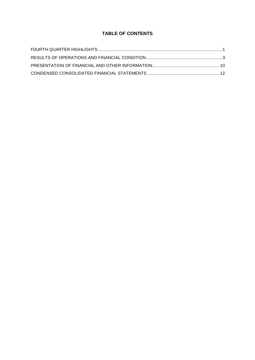# **TABLE OF CONTENTS**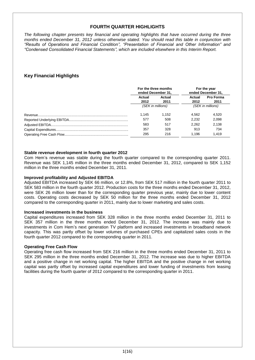# **FOURTH QUARTER HIGHLIGHTS**

*The following chapter presents key financial and operating highlights that have occurred during the three months ended December 31, 2012 unless otherwise stated. You should read this table in conjunction with "Results of Operations and Financial Condition", "Presentation of Financial and Other Information" and "Condensed Consolidated Financial Statements", which are included elsewhere in this Interim Report.*

# **Key Financial Highlights**

| For the three months<br>ended December 31, |                |                   | For the year<br>ended December 31, |
|--------------------------------------------|----------------|-------------------|------------------------------------|
| Actual<br>2012                             | Actual<br>2011 | Actual<br>2012    | <b>Pro Forma</b><br>2011           |
| (SEK in millions)                          |                | (SEK in millions) |                                    |
| 1.145                                      | 1.152          | 4.562             | 4.520                              |
| 577                                        | 508            | 2.232             | 2.098                              |
| 583                                        | 517            | 2.262             | 2.138                              |
| 357                                        | 328            | 913               | 734                                |
| 295                                        | 216            | 1.196             | 1.419                              |

# **Stable revenue development in fourth quarter 2012**

Com Hem's revenue was stable during the fourth quarter compared to the corresponding quarter 2011. Revenue was SEK 1,145 million in the three months ended December 31, 2012, compared to SEK 1,152 million in the three months ended December 31, 2011.

## **Improved profitability and Adjusted EBITDA**

Adjusted EBITDA increased by SEK 66 million, or 12.8%, from SEK 517 million in the fourth quarter 2011 to SEK 583 million in the fourth quarter 2012. Production costs for the three months ended December 31, 2012, were SEK 26 million lower than for the corresponding quarter previous year, mainly due to lower content costs. Operating costs decreased by SEK 50 million for the three months ended December 31, 2012 compared to the corresponding quarter in 2011, mainly due to lower marketing and sales costs.

# **Increased investments in the business**

Capital expenditures increased from SEK 328 million in the three months ended December 31, 2011 to SEK 357 million in the three months ended December 31, 2012. The increase was mainly due to investments in Com Hem's next generation TV platform and increased investments in broadband network capacity. This was partly offset by lower volumes of purchased CPEs and capitalized sales costs in the fourth quarter 2012 compared to the corresponding quarter in 2011.

# **Operating Free Cash Flow**

Operating free cash flow increased from SEK 216 million in the three months ended December 31, 2011 to SEK 295 million in the three months ended December 31, 2012. The increase was due to higher EBITDA and a positive change in net working capital. The higher EBITDA and the positive change in net working capital was partly offset by increased capital expenditures and lower funding of investments from leasing facilities during the fourth quarter of 2012 compared to the corresponding quarter in 2011.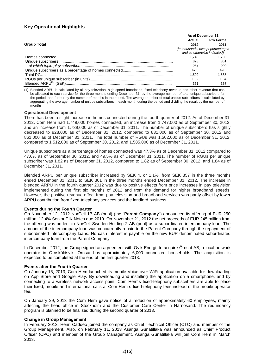# **Key Operational Highlights**

|                    | As of December 31,                 |           |
|--------------------|------------------------------------|-----------|
|                    | Actual                             | Pro Forma |
| <b>Group Total</b> | 2012                               | 2011      |
|                    | (in thousands, except percentages) |           |
|                    | and as otherwise indicated)        |           |
|                    | 1.749                              | 1.739     |
|                    | 828                                | 861       |
|                    | 264                                | 292       |
|                    | 47.3                               | 49.5      |
|                    | 1.502                              | 1.585     |
|                    | 1.82                               | 1.84      |
|                    | 361                                | 357       |

(1) Blended ARPU is calculated by all pay television, high-speed broadband, fixed-telephony revenue and other revenue that can be allocated to each service for the three months ending December 31, by the average number of total unique subscribers for the period, and further by the number of months in the period. The average number of total unique subscribers is calculated by aggregating the average number of unique subscribers in each month during the period and dividing the result by the number of months.

#### **Operational Development**

There has been a slight increase in homes connected during the fourth quarter of 2012. As of December 31, 2012, Com Hem had 1,749,000 homes connected, an increase from 1,747,000 as of September 30, 2012, and an increase from 1,739,000 as of December 31, 2011. The number of unique subscribers has slightly decreased to 828,000 as of December 31, 2012, compared to 831,000 as of September 30, 2012 and 861,000 as of December 31, 2011. The total number of RGUs was 1,502,000 as of December 31, 2012, compared to 1,512,000 as of September 30, 2012, and 1,585,000 as of December 31, 2011.

Unique subscribers as a percentage of homes connected was 47.3% as of December 31, 2012 compared to 47.6% as of September 30, 2012, and 49.5% as of December 31, 2011. The number of RGUs per unique subscriber was 1.82 as of December 31, 2012, compared to 1.82 as of September 30, 2012, and 1.84 as of December 31, 2011.

Blended ARPU per unique subscriber increased by SEK 4, or 1.1%, from SEK 357 in the three months ended December 31, 2011 to SEK 361 in the three months ended December 31, 2012. The increase in blended ARPU in the fourth quarter 2012 was due to positive effects from price increases in pay television implemented during the first six months of 2012 and from the demand for higher broadband speeds. However, the positive revenue effect from pay television and broadband services was partly offset by lower ARPU contribution from fixed-telephony services and the landlord business.

#### **Events during the Fourth Quarter**

On November 12, 2012 NorCell 1B AB (publ) (the "**Parent Company**") announced its offering of EUR 250 million, 12.4% Senior PIK Notes due 2019. On November 21, 2012 the net proceeds of EUR 245 million from the offering was on-lent to NorCell Sweden Holding 2 AB (publ) as a subordinated intercompany loan. The amount of the intercompany loan was concurrently repaid to the Parent Company through the repayment of subordinated intercompany loans. No cash interest is payable on the new EUR denominated subordinated intercompany loan from the Parent Company.

In December 2012, the Group signed an agreement with Övik Energi, to acquire Örnsat AB, a local network operator in Örnsköldsvik. Örnsat has approximately 6,000 connected households. The acquisition is expected to be completed at the end of the first quarter 2013.

# **Events after the Fourth Quarter**

On January 16, 2013, Com Hem launched its mobile Voice over WiFi application available for downloading on App Store and Google Play. By downloading and installing the application on a smartphone, and by connecting to a wireless network access point, Com Hem´s fixed-telephony subscribers are able to place their fixed, mobile and international calls at Com Hem´s fixed-telephony fees instead of the mobile operator fee.

On January 29, 2013 the Com Hem gave notice of a reduction of approximately 60 employees, mainly affecting the head office in Stockholm and the Customer Care Center in Härnösand. The redundancy program is planned to be finalized during the second quarter of 2013.

# **Change in Group Management**

In February 2013, Henri Caddeo joined the company as Chief Technical Officer (CTO) and member of the Group Management. Also, on February 11, 2013 Asanga Gunatillaka was announced as Chief Product Officer (CPO) and member of the Group Management. Asanga Gunatillaka will join Com Hem in March 2013.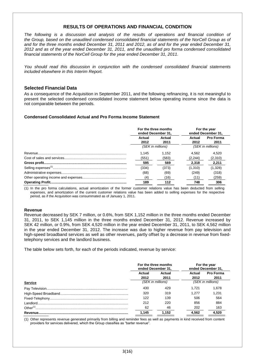# **RESULTS OF OPERATIONS AND FINANCIAL CONDITION**

*The following is a discussion and analysis of the results of operations and financial condition of the Group, based on the unaudited condensed consolidated financial statements of the NorCell Group as of and for the three months ended December 31, 2011 and 2012, as of and for the year ended December 31, 2012 and as of the year ended December 31, 2011, and the unaudited pro forma condensed consolidated financial statements of the NorCell Group for the year ended December 31, 2011.*

*You should read this discussion in conjunction with the condensed consolidated financial statements included elsewhere in this Interim Report.*

# **Selected Financial Data**

As a consequence of the Acquisition in September 2011, and the following refinancing, it is not meaningful to present the selected condensed consolidated income statement below operating income since the data is not comparable between the periods.

# **Condensed Consolidated Actual and Pro Forma Income Statement**

| For the three months<br>ended December 31. |                | For the year<br>ended December 31, |                   |
|--------------------------------------------|----------------|------------------------------------|-------------------|
| Actual<br>2012                             | Actual<br>2011 | Actual<br>2012                     | Pro Forma<br>2011 |
| (SEK in millions)                          |                | (SEK in millions)                  |                   |
| 1.145                                      | 1.152          | 4.562                              | 4.520             |
| (551)                                      | (583)          | (2, 244)                           | (2,310)           |
| 595                                        | 569            | 2.318                              | 2,211             |
| (334)                                      | (373)          | (1,310)                            | (1,328)           |
| (68)                                       | (69)           | (249)                              | (318)             |
| (4)                                        | (16)           | (11)                               | (259)             |
| 189                                        | 112            | 748                                | 306               |

(1) In the pro forma calculations, actual amortization of the former customer relations value has been deducted from selling expenses, and amortization of the current customer relations value has been added to selling expenses for the respective period, as if the Acquisition was consummated as of January 1, 2011.

#### **Revenue**

Revenue decreased by SEK 7 million, or 0.6%, from SEK 1,152 million in the three months ended December 31, 2011, to SEK 1,145 million in the three months ended December 31, 2012. Revenue increased by SEK 42 million, or 0.9%, from SEK 4,520 million in the year ended December 31, 2011, to SEK 4,562 million in the year ended December 31, 2012. The increase was due to higher revenue from pay television and high-speed broadband services as well as other revenues, partly offset by a decrease in revenue from fixedtelephony services and the landlord business.

The table below sets forth, for each of the periods indicated, revenue by service:

|                      | For the three months<br>ended December 31, |       |                   | For the year<br>ended December 31, |
|----------------------|--------------------------------------------|-------|-------------------|------------------------------------|
|                      | Actual<br>Actual<br>2012<br>2011           |       | Actual<br>2012    | <b>Pro Forma</b><br>2011           |
| Service              | (SEK in millions)                          |       | (SEK in millions) |                                    |
|                      | 430                                        | 429   | 1.721             | 1.678                              |
|                      | 320                                        | 319   | 1.277             | 1.231                              |
|                      | 122                                        | 139   | 506               | 564                                |
|                      | 212                                        | 220   | 856               | 884                                |
| Other <sup>(1)</sup> | 62                                         | 46    | 202               | 163                                |
|                      | 1.145                                      | 1.152 | 4.562             | 4.520                              |

(1) Other represents revenue generated primarily from billing and reminder fees as well as payments in kind received from content providers for services delivered, which the Group classifies as "barter revenue".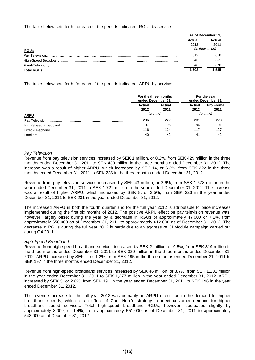The table below sets forth, for each of the periods indicated, RGUs by service:

|             | As of December 31. |                |  |
|-------------|--------------------|----------------|--|
|             | Actual             | Actual         |  |
|             | 2012               | 2011           |  |
| <b>RGUs</b> |                    | (in thousands) |  |
|             | 612                | 658            |  |
|             | 543                | 551            |  |
|             | 348                | 376            |  |
|             | 1.502              | 1.585          |  |

The table below sets forth, for each of the periods indicated, ARPU by service:

|             | For the three months<br>ended December 31, |                |                | For the year<br>ended December 31, |
|-------------|--------------------------------------------|----------------|----------------|------------------------------------|
|             | Actual<br>2012                             | Actual<br>2011 | Actual<br>2012 | <b>Pro Forma</b><br>2011           |
| <u>ARPU</u> | $(in$ SEK $)$                              |                | $(in$ SEK $)$  |                                    |
|             | 236                                        | 222            | 231            | 223                                |
|             | 197                                        | 195            | 196            | 191                                |
|             | 116                                        | 124            | 117            | 127                                |
| I andlord   | 40                                         | 42             | 41             | 42                                 |

# *Pay Television*

Revenue from pay television services increased by SEK 1 million, or 0.2%, from SEK 429 million in the three months ended December 31, 2011 to SEK 430 million in the three months ended December 31, 2012. The increase was a result of higher ARPU, which increased by SEK 14, or 6.3%, from SEK 222 in the three months ended December 31, 2011 to SEK 236 in the three months ended December 31, 2012.

Revenue from pay television services increased by SEK 43 million, or 2.6%, from SEK 1,678 million in the year ended December 31, 2011 to SEK 1,721 million in the year ended December 31, 2012. The increase was a result of higher ARPU, which increased by SEK 8, or 3.5%, from SEK 223 in the year ended December 31, 2011 to SEK 231 in the year ended December 31, 2012.

The increased ARPU in both the fourth quarter and for the full year 2012 is attributable to price increases implemented during the first six months of 2012. The positive ARPU effect on pay television revenue was, however, largely offset during the year by a decrease in RGUs of approximately 47,000 or 7.1%, from approximately 658,000 as of December 31, 2011 to approximately 612,000 as of December 31, 2012. The decrease in RGUs during the full year 2012 is partly due to an aggressive CI Module campaign carried out during Q4 2011.

# *High-Speed Broadband*

Revenue from high-speed broadband services increased by SEK 2 million, or 0.5%, from SEK 319 million in the three months ended December 31, 2011 to SEK 320 million in the three months ended December 31, 2012. ARPU increased by SEK 2, or 1.2%, from SEK 195 in the three months ended December 31, 2011 to SEK 197 in the three months ended December 31, 2012.

Revenue from high-speed broadband services increased by SEK 46 million, or 3.7%, from SEK 1,231 million in the year ended December 31, 2011 to SEK 1,277 million in the year ended December 31, 2012. ARPU increased by SEK 5, or 2.8%, from SEK 191 in the year ended December 31, 2011 to SEK 196 in the year ended December 31, 2012.

The revenue increase for the full year 2012 was primarily an ARPU effect due to the demand for higher broadband speeds, which is an effect of Com Hem's strategy to meet customer demand for higher broadband speed services. Total high-speed broadband RGUs, however, decreased slightly by approximately 8,000, or 1.4%, from approximately 551,000 as of December 31, 2011 to approximately 543,000 as of December 31, 2012.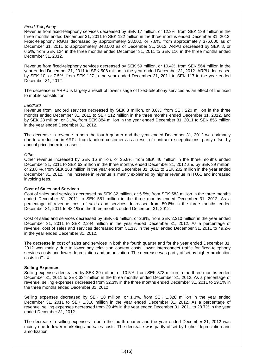#### *Fixed-Telephony*

Revenue from fixed-telephony services decreased by SEK 17 million, or 12.3%, from SEK 139 million in the three months ended December 31, 2011 to SEK 122 million in the three months ended December 31, 2012. Fixed-telephony RGUs decreased by approximately 28,000, or 7.6%, from approximately 376,000 as of December 31, 2011 to approximately 348,000 as of December 31, 2012. ARPU decreased by SEK 8, or 6.5%, from SEK 124 in the three months ended December 31, 2011 to SEK 116 in the three months ended December 31, 2012.

Revenue from fixed-telephony services decreased by SEK 59 million, or 10.4%, from SEK 564 million in the year ended December 31, 2011 to SEK 506 million in the year ended December 31, 2012. ARPU decreased by SEK 10, or 7.5%, from SEK 127 in the year ended December 31, 2011 to SEK 117 in the year ended December 31, 2012.

The decrease in ARPU is largely a result of lower usage of fixed-telephony services as an effect of the fixed to mobile substitution.

#### *Landlord*

Revenue from landlord services decreased by SEK 8 million, or 3.8%, from SEK 220 million in the three months ended December 31, 2011 to SEK 212 million in the three months ended December 31, 2012, and by SEK 28 million, or 3.1%, from SEK 884 million in the year ended December 31, 2011 to SEK 856 million in the year ended December 31, 2012.

The decrease in revenue in both the fourth quarter and the year ended December 31, 2012 was primarily due to a reduction in ARPU from landlord customers as a result of contract re-negotiations, partly offset by annual price index increases.

#### *Other*

Other revenue increased by SEK 16 million, or 35.8%, from SEK 46 million in the three months ended December 31, 2011 to SEK 62 million in the three months ended December 31, 2012 and by SEK 39 million, or 23.8 %, from SEK 163 million in the year ended December 31, 2011 to SEK 202 million in the year ended December 31, 2012. The increase in revenue is mainly explained by higher revenue in iTUX, and increased invoicing fees.

#### **Cost of Sales and Services**

Cost of sales and services decreased by SEK 32 million, or 5.5%, from SEK 583 million in the three months ended December 31, 2011 to SEK 551 million in the three months ended December 31, 2012. As a percentage of revenue, cost of sales and services decreased from 50.6% in the three months ended December 31, 2011 to 48.1% in the three months ended December 31, 2012.

Cost of sales and services decreased by SEK 66 million, or 2.8%, from SEK 2,310 million in the year ended December 31, 2011 to SEK 2,244 million in the year ended December 31, 2012. As a percentage of revenue, cost of sales and services decreased from 51.1% in the year ended December 31, 2011 to 49.2% in the year ended December 31, 2012.

The decrease in cost of sales and services in both the fourth quarter and for the year ended December 31, 2012 was mainly due to lower pay television content costs, lower interconnect traffic for fixed-telephony services costs and lower depreciation and amortization. The decrease was partly offset by higher production costs in iTUX.

#### **Selling Expenses**

Selling expenses decreased by SEK 39 million, or 10.5%, from SEK 373 million in the three months ended December 31, 2011 to SEK 334 million in the three months ended December 31, 2012. As a percentage of revenue, selling expenses decreased from 32.3% in the three months ended December 31, 2011 to 29.1% in the three months ended December 31, 2012.

Selling expenses decreased by SEK 18 million, or 1.3%, from SEK 1,328 million in the year ended December 31, 2011 to SEK 1,310 million in the year ended December 31, 2012. As a percentage of revenue, selling expenses decreased from 29.4% in the year ended December 31, 2011 to 28.7% in the year ended December 31, 2012.

The decrease in selling expenses in both the fourth quarter and the year ended December 31, 2012 was mainly due to lower marketing and sales costs. The decrease was partly offset by higher depreciation and amortization.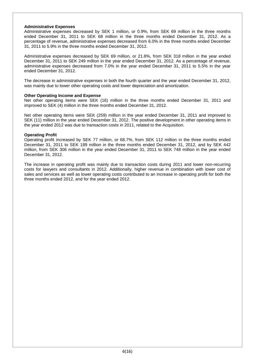#### **Administrative Expenses**

Administrative expenses decreased by SEK 1 million, or 0.9%, from SEK 69 million in the three months ended December 31, 2011 to SEK 68 million in the three months ended December 31, 2012. As a percentage of revenue, administrative expenses decreased from 6.0% in the three months ended December 31, 2011 to 5.9% in the three months ended December 31, 2012.

Administrative expenses decreased by SEK 69 million, or 21.8%, from SEK 318 million in the year ended December 31, 2011 to SEK 249 million in the year ended December 31, 2012. As a percentage of revenue, administrative expenses decreased from 7.0% in the year ended December 31, 2011 to 5.5% in the year ended December 31, 2012.

The decrease in administrative expenses in both the fourth quarter and the year ended December 31, 2012, was mainly due to lower other operating costs and lower depreciation and amortization.

#### **Other Operating Income and Expense**

Net other operating items were SEK (16) million in the three months ended December 31, 2011 and improved to SEK (4) million in the three months ended December 31, 2012.

Net other operating items were SEK (259) million in the year ended December 31, 2011 and improved to SEK (11) million in the year ended December 31, 2012. The positive development in other operating items in the year ended 2012 was due to transaction costs in 2011, related to the Acquisition.

#### **Operating Profit**

Operating profit increased by SEK 77 million, or 68.7%, from SEK 112 million in the three months ended December 31, 2011 to SEK 189 million in the three months ended December 31, 2012, and by SEK 442 million, from SEK 306 million in the year ended December 31, 2011 to SEK 748 million in the year ended December 31, 2012.

The increase in operating profit was mainly due to transaction costs during 2011 and lower non-recurring costs for lawyers and consultants in 2012. Additionally, higher revenue in combination with lower cost of sales and services as well as lower operating costs contributed to an increase in operating profit for both the three months ended 2012, and for the year ended 2012.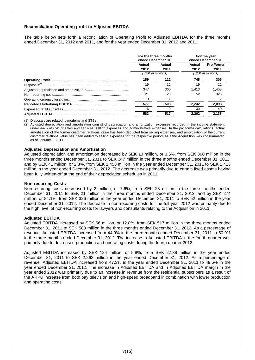# **Reconciliation Operating profit to Adjusted EBITDA**

The table below sets forth a reconciliation of Operating Profit to Adjusted EBITDA for the three months ended December 31, 2012 and 2011, and for the year ended December 31, 2012 and 2011.

| For the three months<br>ended December 31, |        |                   | For the year<br>ended December 31, |
|--------------------------------------------|--------|-------------------|------------------------------------|
| Actual                                     | Actual | Actual            | <b>Pro Forma</b>                   |
| 2012                                       | 2011   | 2012              | 2011                               |
| (SEK in millions)                          |        | (SEK in millions) |                                    |
| 189                                        | 112    | 748               | 306                                |
| 19                                         | 12     | 19                |                                    |
| 347                                        | 360    | 1.413             | 1,453                              |
| 21                                         | 23     | 52                | 326                                |
|                                            |        |                   |                                    |
| 577                                        | 508    | 2,232             | 2,098                              |
|                                            |        | 30                | 40                                 |
| 583                                        | 517    | 2.262             | 2,138                              |

(1) Disposals are related to modems and STBs.

(2) Adjusted depreciation and amortization consist of depreciation and amortization expenses recorded in the income statement under each of cost of sales and services, selling expenses and administrative expenses. In the pro forma calculations, actual amortization of the former customer relations value has been deducted from selling expenses, and amortization of the current customer relations value has been added to selling expenses for the respective period, as if the Acquisition was consummated as of January 1, 2011.

#### **Adjusted Depreciation and Amortization**

Adjusted depreciation and amortization decreased by SEK 13 million, or 3.5%, from SEK 360 million in the three months ended December 31, 2011 to SEK 347 million in the three months ended December 31, 2012, and by SEK 41 million, or 2.8%, from SEK 1,453 million in the year ended December 31, 2011 to SEK 1,413 million in the year ended December 31, 2012. The decrease was primarily due to certain fixed assets having been fully written-off at the end of their depreciation schedules in 2011.

#### **Non-recurring Costs**

Non-recurring costs decreased by 2 million, or 7.6%, from SEK 23 million in the three months ended December 31, 2011 to SEK 21 million in the three months ended December 31, 2012, and by SEK 274 million, or 84.1%, from SEK 326 million in the year ended December 31, 2011 to SEK 52 million in the year ended December 31, 2012. The decrease in non-recurring costs for the full year 2012 was primarily due to the high level of non-recurring costs for lawyers and consultants relating to the Acquisition in 2011.

#### **Adjusted EBITDA**

Adjusted EBITDA increased by SEK 66 million, or 12.8%, from SEK 517 million in the three months ended December 31, 2011 to SEK 583 million in the three months ended December 31, 2012. As a percentage of revenue, Adjusted EBITDA increased from 44.9% in the three months ended December 31, 2011 to 50.9% in the three months ended December 31, 2012. The increase in Adjusted EBITDA in the fourth quarter was primarily due to decreased production and operating costs during the fourth quarter 2012.

Adjusted EBITDA increased by SEK 124 million, or 5.8%, from SEK 2,138 million in the year ended December 31, 2011 to SEK 2,262 million in the year ended December 31, 2012. As a percentage of revenue, Adjusted EBITDA increased from 47.3% in the year ended December 31, 2011 to 49.6% in the year ended December 31, 2012. The increase in Adjusted EBITDA and in Adjusted EBITDA margin in the year ended 2012 was primarily due to an increase in revenue from the residential subscribers as a result of the ARPU increase from both pay television and high-speed broadband in combination with lower production and operating costs.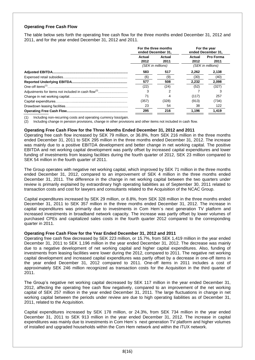# **Operating Free Cash Flow**

The table below sets forth the operating free cash flow for the three months ended December 31, 2012 and 2011, and for the year ended December 31, 2012 and 2011.

|  | For the three months<br>ended December 31. |       |                   | For the year<br>ended December 31. |           |
|--|--------------------------------------------|-------|-------------------|------------------------------------|-----------|
|  | Actual                                     |       | Actual            | Actual                             | Pro Forma |
|  | 2012                                       | 2011  | 2012              | 2011                               |           |
|  | (SEK in millions)                          |       | (SEK in millions) |                                    |           |
|  | 583                                        | 517   | 2.262             | 2,138                              |           |
|  | (6)                                        | (9)   | (30)              | (40)                               |           |
|  | 577                                        | 508   | 2.232             | 2,098                              |           |
|  | (22)                                       | (24)  | (52)              | (327)                              |           |
|  | 3                                          |       |                   |                                    |           |
|  | 71                                         |       | (117)             | 257                                |           |
|  | (357)                                      | (328) | (913)             | (734)                              |           |
|  | 23                                         | 54    | 38                | 122                                |           |
|  | 295                                        | 216   | 1.196             | 1,419                              |           |

(1) Including non-recurring costs and operating currency loss/gain.

(2) Including change in pension provisions, change in other provisions and other items not included in cash flow.

#### **Operating Free Cash Flow for the Three Months Ended December 31, 2012 and 2011**

Operating free cash flow increased by SEK 79 million, or 36.8%, from SEK 216 million in the three months ended December 31, 2011 to SEK 295 million in the three months ended December 31, 2012. The increase was mainly due to a positive EBITDA development and better change in net working capital. The positive EBITDA and net working capital development was partly offset by increased capital expenditures and lower funding of investments from leasing facilities during the fourth quarter of 2012, SEK 23 million compared to SEK 54 million in the fourth quarter of 2011.

The Group operates with negative net working capital, which improved by SEK 71 million in the three months ended December 31, 2012, compared to an improvement of SEK 4 million in the three months ended December 31, 2011. The difference in the change in net working capital between the two quarters under review is primarily explained by extraordinary high operating liabilities as of September 30, 2011 related to transaction costs and cost for lawyers and consultants related to the Acquisition of the NCAC Group.

Capital expenditures increased by SEK 29 million, or 8.8%, from SEK 328 million in the three months ended December 31, 2011 to SEK 357 million in the three months ended December 31, 2012. The increase in capital expenditures was primarily due to investments in Com Hem´s next generation TV platform and increased investments in broadband network capacity. The increase was partly offset by lower volumes of purchased CPEs and capitalized sales costs in the fourth quarter 2012 compared to the corresponding quarter in 2011.

#### **Operating Free Cash Flow for the Year Ended December 31, 2012 and 2011**

Operating free cash flow decreased by SEK 223 million, or 15.7%, from SEK 1,419 million in the year ended December 31, 2011 to SEK 1,196 million in the year ended December 31, 2012. The decrease was mainly due to a negative development of net working capital and higher capital expenditures. Also, funding of investments from leasing facilities were lower during the 2012, compared to 2011. The negative net working capital development and increased capital expenditures was partly offset by a decrease in one-off items in the year ended December 31, 2012 compared to 2011. One-off items in 2011 includes a cost of approximately SEK 246 million recognized as transaction costs for the Acquisition in the third quarter of 2011.

The Group's negative net working capital decreased by SEK 117 million in the year ended December 31, 2012, affecting the operating free cash flow negatively, compared to an improvement of the net working capital of SEK 257 million in the year ended December 31, 2011. The large fluctuations in change in net working capital between the periods under review are due to high operating liabilities as of December 31, 2011, related to the Acquisition.

Capital expenditures increased by SEK 178 million, or 24.3%, from SEK 734 million in the year ended December 31, 2011 to SEK 913 million in the year ended December 31, 2012. The increase in capital expenditures was mainly due to investments in Com Hem´s next generation TV platform and higher volumes of installed and upgraded households within the Com Hem network and within the iTUX network.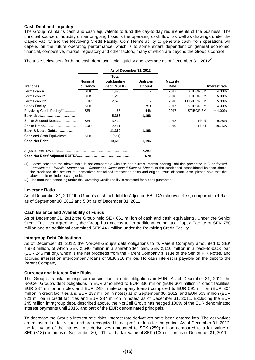## **Cash Debt and Liquidity**

The Group maintains cash and cash equivalents to fund the day-to-day requirements of the business. The principal source of liquidity on an on-going basis is the operating cash flow, as well as drawings under the Capex Facility and the Revolving Credit Facility. Com Hem's ability to generate cash from operations will depend on the future operating performance, which is to some extent dependent on general economic, financial, competitive, market, regulatory and other factors, many of which are beyond the Group's control.

The table below sets forth the cash debt, available liquidity and leverage as of December 31, 2012<sup>(1)</sup>.

|                                          |                | As of December 31, 2012 |                |                 |            |               |
|------------------------------------------|----------------|-------------------------|----------------|-----------------|------------|---------------|
|                                          |                | <b>Total</b>            |                |                 |            |               |
|                                          | <b>Nominal</b> | outstanding             | <b>Undrawn</b> | <b>Maturity</b> |            |               |
| <b>Tranches</b>                          | currency       | debt (MSEK)             | amount         | Date            |            | Interest rate |
| Term Loan A                              | <b>SEK</b>     | 1,490                   |                | 2017            | STIBOR 3M  | $+4.00%$      |
| Term Loan B1                             | <b>SEK</b>     | 1,216                   |                | 2018            | STIBOR 3M  | $+5.00%$      |
| Term Loan B2                             | <b>EUR</b>     | 2,626                   |                | 2018            | EURIBOR 3M | $+5.00%$      |
| Capex Facility                           | <b>SEK</b>     |                         | 750            | 2017            | STIBOR 3M  | $+4.00%$      |
| Revolving Credit Facility <sup>(2)</sup> | <b>SEK</b>     | 55                      | 446            | 2017            | STIBOR 3M  | $+4.00\%$     |
| Bank debt                                |                | 5,386                   | 1,196          |                 |            |               |
| Senior Secured Notes                     | <b>SEK</b>     | 3,492                   |                | 2018            | Fixed      | 9.25%         |
| Senior Notes                             | <b>EUR</b>     | 2,481                   |                | 2019            | Fixed      | 10.75%        |
| <b>Bank &amp; Notes Debt</b>             |                | 11,359                  | 1,196          |                 |            |               |
| Cash and Cash Equivalents                | <b>SEK</b>     | (661)                   |                |                 |            |               |
| Cash Net Debt                            |                | 10,698                  | 1,196          |                 |            |               |
|                                          |                |                         | 2,262          |                 |            |               |
|                                          |                |                         | 4.7x           |                 |            |               |

(1) Please note that the above table is not comparable with the non-current interest bearing liabilities presented in "*Condensed Consolidated Financial Statements – Condensed Consolidated Balance Sheet"*. In the condensed consolidated balance sheet, the credit facilities are net of unamortized capitalized transaction costs and original issue discount. Also, please note that the above table excludes leasing debt.

(2) The amount outstanding under the Revolving Credit Facility is restricted for a bank guarantee.

#### **Leverage Ratio**

As of December 31, 2012 the Group's cash net debt to Adjusted EBITDA ratio was 4.7x, compared to 4.9x as of September 30, 2012 and 5.0x as of December 31, 2011.

#### **Cash Balance and Availability of Funds**

As of December 31, 2012 the Group held SEK 661 million of cash and cash equivalents. Under the Senior Credit Facilities Agreement, the Group has access to an additional committed Capex Facility of SEK 750 million and an additional committed SEK 446 million under the Revolving Credit Facility.

#### **Intragroup Debt Obligations**

As of December 31, 2012, the NorCell Group's debt obligations to its Parent Company amounted to SEK 4,973 million, of which SEK 2,640 million in a shareholder loan, SEK 2,116 million in a back-to-back loan (EUR 245 million), which is the net proceeds from the Parent Company´s issue of the Senior PIK Notes, and accrued interest on intercompany loans of SEK 218 million. No cash interest is payable on the debt to the Parent Company.

# **Currency and Interest Rate Risks**

The Group's translation exposure arises due to debt obligations in EUR. As of December 31, 2012 the NorCell Group's debt obligations in EUR amounted to EUR 836 million (EUR 304 million in credit facilities, EUR 287 million in notes and EUR 245 in intercompany loans) compared to EUR 591 million (EUR 304 million in credit facilities and EUR 287 million in notes) as of September 30, 2012, and EUR 608 million (EUR 321 million in credit facilities and EUR 287 million in notes) as of December 31, 2011. Excluding the EUR 245 million intragroup debt, described above, the NorCell Group has hedged 100% of the EUR denominated interest payments until 2015, and part of the EUR denominated principals.

To decrease the Group's interest rate risks, interest rate derivatives have been entered into. The derivatives are measured at fair value, and are recognized in net profit or loss for the period. As of December 31, 2012, the fair value of the interest rate derivatives amounted to SEK (259) million compared to a fair value of SEK (318) million as of September 30, 2012 and a fair value of SEK (100) million as of December 31, 2011.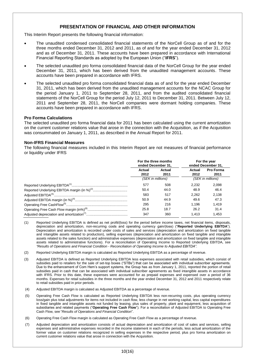# **PRESENTATION OF FINANCIAL AND OTHER INFORMATION**

This Interim Report presents the following financial information:

- The unaudited condensed consolidated financial statements of the NorCell Group as of and for the three months ended December 31, 2012 and 2011, as of and for the year ended December 31, 2012 and as of December 31, 2011. These accounts have been prepared in accordance with International Financial Reporting Standards as adopted by the European Union ("**IFRS**").
- The selected unaudited pro forma consolidated financial data of the NorCell Group for the year ended December 31, 2011, which has been derived from the unaudited management accounts. These accounts have been prepared in accordance with IFRS.
- The selected unaudited pro forma consolidated financial data as of and for the year ended December 31, 2011, which has been derived from the unaudited management accounts for the NCAC Group for the period January 1, 2011 to September 28, 2011, and from the audited consolidated financial statements of the NorCell Group for the period July 12, 2011 to December 31, 2011. Between July 12, 2011 and September 28, 2011, the NorCell companies were dormant holding companies. These accounts have been prepared in accordance with IFRS.

#### **Pro Forma Calculations**

The selected unaudited pro forma financial data for 2011 has been calculated using the current amortization on the current customer relations value that arose in the connection with the Acquisition, as if the Acquisition was consummated on January 1, 2011, as described in the Annual Report for 2011.

#### **Non-IFRS Financial Measures**

The following financial measures included in this Interim Report are not measures of financial performance or liquidity under IFRS

|  | For the three months<br>ended December 31, |      |                   | For the year<br>ended December 31, |        |                  |
|--|--------------------------------------------|------|-------------------|------------------------------------|--------|------------------|
|  | Actual<br>Actual                           |      |                   |                                    | Actual | <b>Pro Forma</b> |
|  | 2012                                       | 2011 | 2012              | 2011                               |        |                  |
|  | (SEK in millions)                          |      | (SEK in millions) |                                    |        |                  |
|  | 577                                        | 508  | 2.232             | 2.098                              |        |                  |
|  | 50.4                                       | 44.0 | 48.9              | 46.4                               |        |                  |
|  | 583                                        | 517  | 2.262             | 2.138                              |        |                  |
|  | 50.9                                       | 44.9 | 49.6              | 47.3                               |        |                  |
|  | 295                                        | 216  | 1.196             | 1.419                              |        |                  |
|  | 25.8                                       | 18.7 | 26.2              | 31.4                               |        |                  |
|  | 347                                        | 360  | 1.413             | 1.453                              |        |                  |

- (1) Reported Underlying EBITDA is defined as net profit/(loss) for the period before income taxes, net financial items, disposals, depreciation and amortization, non-recurring costs and operating currency gain/(loss) ("**Reported Underlying EBITDA**"). Depreciation and amortization is recorded under costs of sales and services (depreciation and amortization on fixed tangible and intangible assets related to production), selling expenses (depreciation and amortization on fixed tangible and intangible assets related to the sales function) and administrative expenses (depreciation and amortization on fixed tangible and intangible assets related to administrative functions). For a reconciliation of Operating Income to Reported Underlying EBITDA, see *"Results of Operations and Financial Condition* - *Reconciliation of Operating Income to Adjusted EBITDA"*.
- (2) Reported Underlying EBITDA margin is calculated as Reported Underlying EBITDA as a percentage of revenue.
- (3) Adjusted EBITDA is defined as Reported Underlying EBITDA less expenses associated with retail subsidies, which consist of subsidies paid to retailers for the sale of set-top boxes ("STBs") that can be associated with individual subscriber agreements. Due to the enhancement of Com Hem's support systems, the Group has as from January 1, 2011, reported the portion of retail subsidies paid in cash that can be associated with individual subscriber agreements as fixed intangible assets in accordance with IFRS. Prior to this date, these expenses were accounted for as prepaid expenses and expensed over a period of 36 months. Expenses for retail subsidies in the three months and the year ended December 31, 2012 and 2011 respectively relate to retail subsidies paid in prior periods.
- (4) Adjusted EBITDA margin is calculated as Adjusted EBITDA as a percentage of revenue.
- (5) Operating Free Cash Flow is calculated as Reported Underlying EBITDA less non-recurring costs, plus operating currency loss/gain plus total adjustments for items not included in cash flow, less change in net working capital, less capital expenditures in fixed tangible and intangible assets not funded by leasing, plus sales of property, plant and equipment, less acquisition of subsidiaries and related payments ("**Operating Free Cash Flow**"). For a reconciliation of Adjusted EBITDA to Operating Free Cash Flow, see "*Results of Operations and Financial Condition*".
- (6) Operating Free Cash Flow margin is calculated as Operating Free Cash Flow as a percentage of revenue.
- (7) Adjusted depreciation and amortization consists of actual depreciation and amortization of cost of sales and services, selling expenses and administrative expenses recorded in the income statement in each of the periods, less actual amortization of the former value on customer relations recognized in selling expenses in the respective period, plus pro forma amortization on current customer relations value that arose in connection with the Acquisition.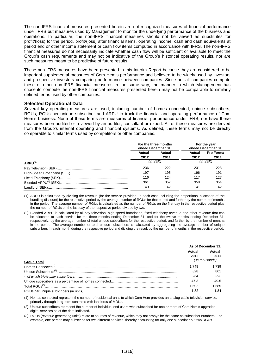The non-IFRS financial measures presented herein are not recognized measures of financial performance under IFRS but measures used by Management to monitor the underlying performance of the business and operations. In particular, the non-IFRS financial measures should not be viewed as substitutes for profit/(loss) for the period, profit/(loss) after financial items, operating income, cash and cash equivalents at period end or other income statement or cash flow items computed in accordance with IFRS. The non-IFRS financial measures do not necessarily indicate whether cash flow will be sufficient or available to meet the Group's cash requirements and may not be indicative of the Group's historical operating results, nor are such measures meant to be predictive of future results.

These non-IFRS measures have been presented in this Interim Report because they are considered to be important supplemental measures of Com Hem's performance and believed to be widely used by investors and prospective investors comparing performance between companies. Since not all companies compute these or other non-IFRS financial measures in the same way, the manner in which Management has chosento compute the non-IFRS financial measures presented herein may not be comparable to similarly defined terms used by other companies.

#### **Selected Operational Data**

Several key operating measures are used, including number of homes connected, unique subscribers, RGUs, RGUs per unique subscriber and ARPU to track the financial and operating performance of Com Hem's business. None of these terms are measures of financial performance under IFRS, nor have these measures been audited or reviewed by an auditor, consultant or expert. All of these measures are derived from the Group's internal operating and financial systems. As defined, these terms may not be directly comparable to similar terms used by competitors or other companies.

|                           | For the three months<br>ended December 31. |      |               | For the year<br>ended December 31. |
|---------------------------|--------------------------------------------|------|---------------|------------------------------------|
|                           | Actual<br>Actual                           |      | Actual        | <b>Pro Forma</b>                   |
|                           | 2012                                       | 2011 | 2012          | 2011                               |
| <b>ARPU<sup>(1)</sup></b> | $(in$ SEK $)$                              |      | $(in$ SEK $)$ |                                    |
|                           | 236                                        | 222  | 231           | 223                                |
|                           | 197                                        | 195  | 196           | 191                                |
|                           | 116                                        | 124  | 117           | 127                                |
|                           | 361                                        | 357  | 358           | 354                                |
|                           | 40                                         | 42   | 41            | 42                                 |

(1) ARPU is calculated by dividing the revenue (for the service provided, in each case including the proportional allocation of the bundling discount) for the respective period by the average number of RGUs for that period and further by the number of months in the period. The average number of RGUs is calculated as the number of RGUs on the first day in the respective period plus the number of RGUs on the last day of the respective period divided by two.

(2) Blended ARPU is calculated by all pay television, high-speed broadband, fixed-telephony revenue and other revenue that can be allocated to each service for the three months ending December 31, and for the twelve months ending December 31, respectively, by the average number of total unique subscribers for the respective period, and further by the number of months in the period. The average number of total unique subscribers is calculated by aggregating the average number of unique subscribers in each month during the respective period and dividing the result by the number of months in the respective period.

|                    | As of December 31, |                |
|--------------------|--------------------|----------------|
|                    | Actual             | Actual         |
|                    | 2012               | 2011           |
| <b>Group Total</b> |                    | (in thousands) |
|                    | 1.749              | 1.739          |
|                    | 828                | 861            |
|                    | 264                | 292            |
|                    | 47.3               | 49.5           |
|                    | 1.502              | 1.585          |
|                    | 1.82               | 1.84           |

(1) Homes connected represent the number of residential units to which Com Hem provides an analog cable television service, primarily through long-term contracts with landlords of MDUs.

(2) Unique subscribers represent the number of individual end users who subscribed for one or more of Com Hem's upgraded digital services as of the date indicated.

(3) RGUs (revenue generating units) relate to sources of revenue, which may not always be the same as subscriber numbers. For example, one person may subscribe for two different services, thereby accounting for only one subscriber but two RGUs.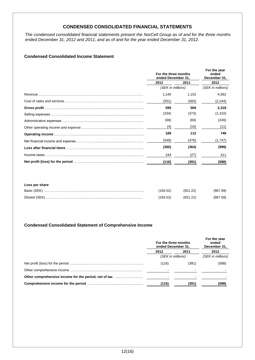# **CONDENSED CONSOLIDATED FINANCIAL STATEMENTS**

*The condensed consolidated financial statements present the NorCell Group as of and for the three months ended December 31, 2012 and 2011, and as of and for the year ended December 31, 2012.* 

# **Condensed Consolidated Income Statement**

| For the three months<br>ended December 31, |       | For the year<br>ended<br>December 31, |  |
|--------------------------------------------|-------|---------------------------------------|--|
| 2012                                       | 2011  | 2012                                  |  |
| (SEK in millions)                          |       | (SEK in millions)                     |  |
| 1,145                                      | 1,152 | 4,562                                 |  |
| (551)                                      | (583) | (2, 244)                              |  |
| 595                                        | 569   | 2,318                                 |  |
| (334)                                      | (373) | (1,310)                               |  |
| (68)                                       | (69)  | (249)                                 |  |
| (4)                                        | (16)  | (11)                                  |  |
| 189                                        | 112   | 748                                   |  |
| (549)                                      | (476) | (1,747)                               |  |
| (360)                                      | (364) | (999)                                 |  |
| 244                                        | (27)  | 411                                   |  |
| (116)                                      | (391) | (588)                                 |  |

#### **Loss per share**

| Basic (SEK)   | (193.52) | (651.22) | (967.69) |
|---------------|----------|----------|----------|
| Diluted (SEK) | 193.52)  | (651.22) | (967.69) |

# **Condensed Consolidated Statement of Comprehensive Income**

|  | For the three months<br>ended December 31,<br>2012<br>2011 |       | For the year<br>ended<br>December 31, |  |
|--|------------------------------------------------------------|-------|---------------------------------------|--|
|  |                                                            |       | 2012                                  |  |
|  | (SEK in millions)                                          |       | (SEK in millions)                     |  |
|  | (116)                                                      | (391) | (588)                                 |  |
|  |                                                            |       |                                       |  |
|  |                                                            |       |                                       |  |
|  | (116)                                                      | (391) | (588)                                 |  |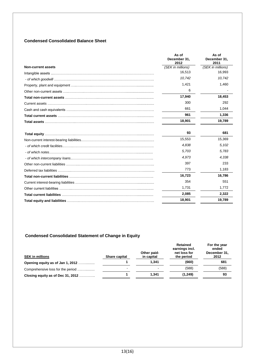# **Condensed Consolidated Balance Sheet**

|                           | As of<br>December 31.<br>2012 | As of<br>December 31,<br>2011 |
|---------------------------|-------------------------------|-------------------------------|
| <b>Non-current assets</b> | (SEK in millions)             | (SEK in millions)             |
|                           | 16,513                        | 16,993                        |
|                           | 10,742                        | 10,742                        |
|                           | 1,421                         | 1,460                         |
|                           | 6                             |                               |
|                           | 17,940                        | 18,453                        |
|                           | 300                           | 292                           |
|                           | 661                           | 1,044                         |
|                           | 961                           | 1,336                         |
|                           | 18,901                        | 19,789                        |
|                           | 93                            | 681                           |
|                           | 15,553                        | 15,369                        |
|                           | 4,838                         | 5,102                         |
|                           | 5,703                         | 5,783                         |
|                           | 4.973                         | 4.338                         |
|                           | 397                           | 233                           |
|                           | 773                           | 1,183                         |
|                           | 16,723                        | 16,786                        |
|                           | 354                           | 551                           |
|                           | 1,731                         | 1.772                         |
|                           | 2,085                         | 2,322                         |
|                           | 18,901                        | 19,789                        |

# **Condensed Consolidated Statement of Change in Equity**

| <b>SEK in millions</b>            | Share capital            | Other paid-<br>in capital | Retained<br>earnings incl.<br>net loss for<br>the period | For the year<br>ended<br>December 31,<br>2012 |
|-----------------------------------|--------------------------|---------------------------|----------------------------------------------------------|-----------------------------------------------|
| Opening equity as of Jan 1, 2012  |                          | 1.341                     | (660)                                                    | 681                                           |
| Comprehensive loss for the period | $\overline{\phantom{0}}$ | $\sim$                    | (588)                                                    | (588)                                         |
| Closing equity as of Dec 31, 2012 |                          | 1.341                     | (1,249)                                                  | 93                                            |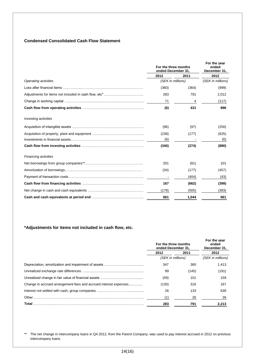# **Condensed Consolidated Cash Flow Statement**

|                             | For the three months<br>ended December 31, |       | For the year<br>ended<br>December 31, |  |
|-----------------------------|--------------------------------------------|-------|---------------------------------------|--|
|                             | 2012                                       | 2011  | 2012                                  |  |
| <b>Operating activities</b> | (SEK in millions)                          |       | (SEK in millions)                     |  |
|                             | (360)                                      | (364) | (999)                                 |  |
|                             | 283                                        | 791   | 2,012                                 |  |
|                             | 71                                         | 4     | (117)                                 |  |
|                             | (6)                                        | 431   | 896                                   |  |
| <b>Investing activities</b> |                                            |       |                                       |  |
|                             | (96)                                       | (97)  | (250)                                 |  |
|                             | (238)                                      | (177) | (625)                                 |  |
|                             | (6)                                        |       | (6)                                   |  |
|                             | (340)                                      | (274) | (880)                                 |  |
| <b>Financing activities</b> |                                            |       |                                       |  |
|                             | 201                                        | (81)  | 101                                   |  |
|                             | (34)                                       | (177) | (457)                                 |  |
|                             |                                            | (404) | (43)                                  |  |
|                             | 167                                        | (662) | (399)                                 |  |
|                             | (178)                                      | (505) | (383)                                 |  |
|                             | 661                                        | 1,044 | 661                                   |  |

# **\*Adjustments for items not included in cash flow, etc.**

|                                                                  | For the three months<br>ended December 31. |       | For the year<br>ended<br>December 31. |  |
|------------------------------------------------------------------|--------------------------------------------|-------|---------------------------------------|--|
|                                                                  | 2012                                       | 2011  | 2012                                  |  |
|                                                                  | (SEK in millions)                          |       | (SEK in millions)                     |  |
|                                                                  | 347                                        | 360   | 1,413                                 |  |
|                                                                  | 99                                         | (145) | (191)                                 |  |
|                                                                  | (59)                                       | 101   | 159                                   |  |
| Change in accrued arrangement fees and accrued interest expenses | (130)                                      | 316   | 167                                   |  |
|                                                                  | 26                                         | 133   | 639                                   |  |
|                                                                  | (1)                                        | 26    | 26                                    |  |
| Total                                                            | 283                                        | 791   | 2,213                                 |  |

\*\* The net change in intercompany loans in Q4 2012, from the Parent Company, was used to pay interest accrued in 2012 on previous intercompany loans.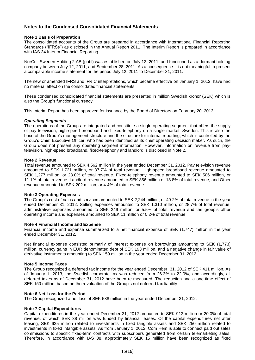# **Notes to the Condensed Consolidated Financial Statements**

## **Note 1 Basis of Preparation**

The consolidated accounts of the Group are prepared in accordance with International Financial Reporting Standards ("IFRSs") as disclosed in the Annual Report 2011. The Interim Report is prepared in accordance with IAS 34 Interim Financial Reporting.

NorCell Sweden Holding 2 AB (publ) was established on July 12, 2011, and functioned as a dormant holding company between July 12, 2011, and September 28, 2011. As a consequence it is not meaningful to present a comparable income statement for the period July 12, 2011 to December 31, 2011.

The new or amended IFRS and IFRIC interpretations, which became effective on January 1, 2012, have had no material effect on the consolidated financial statements.

These condensed consolidated financial statements are presented in million Swedish kronor (SEK) which is also the Group's functional currency.

This Interim Report has been approved for issuance by the Board of Directors on February 20, 2013.

#### *Operating Segments*

The operations of the Group are integrated and constitute a single operating segment that offers the supply of pay television, high-speed broadband and fixed-telephony on a single market, Sweden. This is also the base of the Group's management structure and the structure for internal reporting, which is controlled by the Group's Chief Executive Officer, who has been identified as its chief operating decision maker. As such, the Group does not present any operating segment information. However, information on revenue from paytelevision, high-speed broadband, fixed-telephony and landlord is disclosed in Note 2.

#### **Note 2 Revenue**

Total revenue amounted to SEK 4,562 million in the year ended December 31, 2012. Pay television revenue amounted to SEK 1,721 million, or 37.7% of total revenue. High-speed broadband revenue amounted to SEK 1,277 million, or 28.0% of total revenue. Fixed-telephony revenue amounted to SEK 506 million, or 11.1% of total revenue. Landlord revenue amounted to SEK 856 million or 18.8% of total revenue, and Other revenue amounted to SEK 202 million, or 4.4% of total revenue.

#### **Note 3 Operating Expenses**

The Group's cost of sales and services amounted to SEK 2,244 million, or 49.2% of total revenue in the year ended December 31, 2012. Selling expenses amounted to SEK 1,310 million, or 28.7% of total revenue, administrative expenses amounted to SEK 249 million, or 5.5% of total revenue and the group's other operating income and expenses amounted to SEK 11 million or 0.2% of total revenue.

#### **Note 4 Financial Income and Expense**

Financial income and expense summarized to a net financial expense of SEK (1,747) million in the year ended December 31, 2012.

Net financial expense consisted primarily of interest expense on borrowings amounting to SEK (1,773) million, currency gains in EUR denominated debt of SEK 193 million, and a negative change in fair value of derivative instruments amounting to SEK 159 million in the year ended December 31, 2012.

# **Note 5 Income Taxes**

The Group recognized a deferred tax income for the year ended December 31, 2012 of SEK 411 million. As of January 1, 2013, the Swedish corporate tax was reduced from 26.3% to 22.0%, and accordingly, all deferred taxes as of December 31, 2012 have been re-measured. The reduction had a one-time effect of SEK 150 million, based on the revaluation of the Group's net deferred tax liability.

# **Note 6 Net Loss for the Period**

The Group recognized a net loss of SEK 588 million in the year ended December 31, 2012.

# **Note 7 Capital Expenditures**

Capital expenditures in the year ended December 31, 2012 amounted to SEK 913 million or 20.0% of total revenue, of which SEK 38 million was funded by financial leases. Of the capital expenditures net after leasing, SEK 625 million related to investments in fixed tangible assets and SEK 250 million related to investments in fixed intangible assets. As from January 1, 2012, Com Hem is able to connect paid out sales commissions to specific fixed-term contracts with subscribers generated from certain telemarketing sales. Therefore, in accordance with IAS 38, approximately SEK 15 million have been recognized as fixed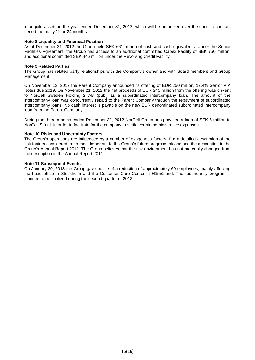intangible assets in the year ended December 31, 2012, which will be amortized over the specific contract period, normally 12 or 24 months.

# **Note 8 Liquidity and Financial Position**

As of December 31, 2012 the Group held SEK 661 million of cash and cash equivalents. Under the Senior Facilities Agreement, the Group has access to an additional committed Capex Facility of SEK 750 million, and additional committed SEK 446 million under the Revolving Credit Facility.

#### **Note 9 Related Parties**

The Group has related party relationships with the Company's owner and with Board members and Group Management.

On November 12, 2012 the Parent Company announced its offering of EUR 250 million, 12.4% Senior PIK Notes due 2019. On November 21, 2012 the net proceeds of EUR 245 million from the offering was on-lent to NorCell Sweden Holding 2 AB (publ) as a subordinated intercompany loan. The amount of the intercompany loan was concurrently repaid to the Parent Company through the repayment of subordinated intercompany loans. No cash interest is payable on the new EUR denominated subordinated intercompany loan from the Parent Company.

During the three months ended December 31, 2012 NorCell Group has provided a loan of SEK 6 million to NorCell S.à.r.l. in order to facilitate for the company to settle certain administrative expenses.

#### **Note 10 Risks and Uncertainty Factors**

The Group's operations are influenced by a number of exogenous factors. For a detailed description of the risk factors considered to be most important to the Group's future progress, please see the description in the Group's Annual Report 2011. The Group believes that the risk environment has not materially changed from the description in the Annual Report 2011.

#### **Note 11 Subsequent Events**

On January 29, 2013 the Group gave notice of a reduction of approximately 60 employees, mainly affecting the head office in Stockholm and the Customer Care Center in Härnösand. The redundancy program is planned to be finalized during the second quarter of 2013.